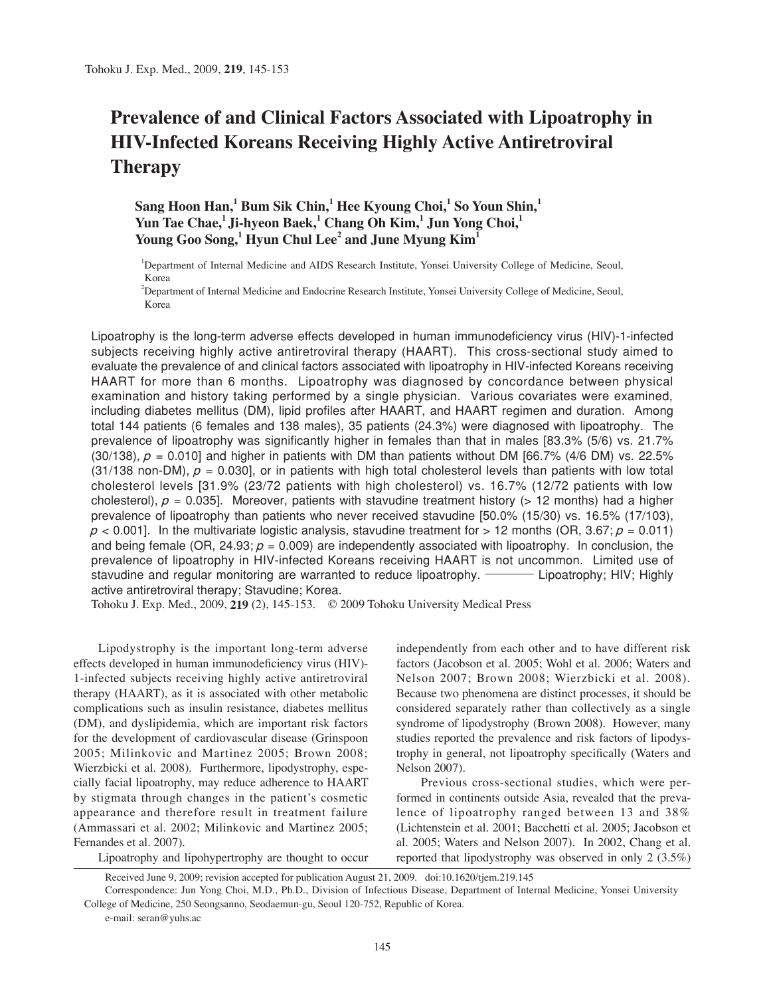# **Prevalence of and Clinical Factors Associated with Lipoatrophy in HIV-Infected Koreans Receiving Highly Active Antiretroviral Therapy**

# $\boldsymbol{\mathrm{Sang}}$  Hoon Han, $^1$  Bum Sik Chin, $^1$  Hee Kyoung Choi, $^1$  So Youn Shin, $^1$  $\mathbf{Y}$ un Tae Chae, $^1$ Ji-hyeon Baek, $^1$  Chang Oh Kim, $^1$  Jun Yong Choi, $^1$ **Young Goo Song,1 Hyun Chul Lee2 and June Myung Kim1**

1 Department of Internal Medicine and AIDS Research Institute, Yonsei University College of Medicine, Seoul, Korea

2 Department of Internal Medicine and Endocrine Research Institute, Yonsei University College of Medicine, Seoul, Korea

Lipoatrophy is the long-term adverse effects developed in human immunodeficiency virus (HIV)-1-infected subjects receiving highly active antiretroviral therapy (HAART). This cross-sectional study aimed to evaluate the prevalence of and clinical factors associated with lipoatrophy in HIV-infected Koreans receiving HAART for more than 6 months. Lipoatrophy was diagnosed by concordance between physical examination and history taking performed by a single physician. Various covariates were examined, including diabetes mellitus (DM), lipid profiles after HAART, and HAART regimen and duration. Among total 144 patients (6 females and 138 males), 35 patients (24.3%) were diagnosed with lipoatrophy. The prevalence of lipoatrophy was significantly higher in females than that in males [83.3% (5/6) vs. 21.7% (30/138),  $p = 0.010$ ] and higher in patients with DM than patients without DM [66.7% (4/6 DM) vs. 22.5%  $(31/138$  non-DM),  $p = 0.030$ , or in patients with high total cholesterol levels than patients with low total cholesterol levels [31.9% (23/72 patients with high cholesterol) vs. 16.7% (12/72 patients with low cholesterol),  $p = 0.035$ . Moreover, patients with stavudine treatment history (> 12 months) had a higher prevalence of lipoatrophy than patients who never received stavudine [50.0% (15/30) vs. 16.5% (17/103),  $p < 0.001$ . In the multivariate logistic analysis, stavudine treatment for  $> 12$  months (OR, 3.67;  $p = 0.011$ ) and being female (OR, 24.93;  $p = 0.009$ ) are independently associated with lipoatrophy. In conclusion, the prevalence of lipoatrophy in HIV-infected Koreans receiving HAART is not uncommon. Limited use of and being female (OR, 24.93;  $\rho$  = 0.009) are independently associated with lipoatrophy. In conclusion, the prevalence of lipoatrophy in HIV-infected Koreans receiving HAART is not uncommon. Limited use of stavudine and active antiretroviral therapy; Stavudine; Korea.

Tohoku J. Exp. Med., 2009, **219** (2), 145-153. © 2009 Tohoku University Medical Press

Lipodystrophy is the important long-term adverse effects developed in human immunodeficiency virus (HIV)- 1-infected subjects receiving highly active antiretroviral therapy (HAART), as it is associated with other metabolic complications such as insulin resistance, diabetes mellitus (DM), and dyslipidemia, which are important risk factors for the development of cardiovascular disease (Grinspoon 2005; Milinkovic and Martinez 2005; Brown 2008; Wierzbicki et al. 2008). Furthermore, lipodystrophy, especially facial lipoatrophy, may reduce adherence to HAART by stigmata through changes in the patient's cosmetic appearance and therefore result in treatment failure (Ammassari et al. 2002; Milinkovic and Martinez 2005; Fernandes et al. 2007).

independently from each other and to have different risk factors (Jacobson et al. 2005; Wohl et al. 2006; Waters and Nelson 2007; Brown 2008; Wierzbicki et al. 2008). Because two phenomena are distinct processes, it should be considered separately rather than collectively as a single syndrome of lipodystrophy (Brown 2008). However, many studies reported the prevalence and risk factors of lipodystrophy in general, not lipoatrophy specifically (Waters and Nelson 2007).

Previous cross-sectional studies, which were performed in continents outside Asia, revealed that the prevalence of lipoatrophy ranged between 13 and 38% (Lichtenstein et al. 2001; Bacchetti et al. 2005; Jacobson et al. 2005; Waters and Nelson 2007). In 2002, Chang et al. reported that lipodystrophy was observed in only 2 (3.5%)

Lipoatrophy and lipohypertrophy are thought to occur

e-mail: seran@yuhs.ac

Received June 9, 2009; revision accepted for publication August 21, 2009. doi:10.1620/tjem.219.145

Correspondence: Jun Yong Choi, M.D., Ph.D., Division of Infectious Disease, Department of Internal Medicine, Yonsei University College of Medicine, 250 Seongsanno, Seodaemun-gu, Seoul 120-752, Republic of Korea.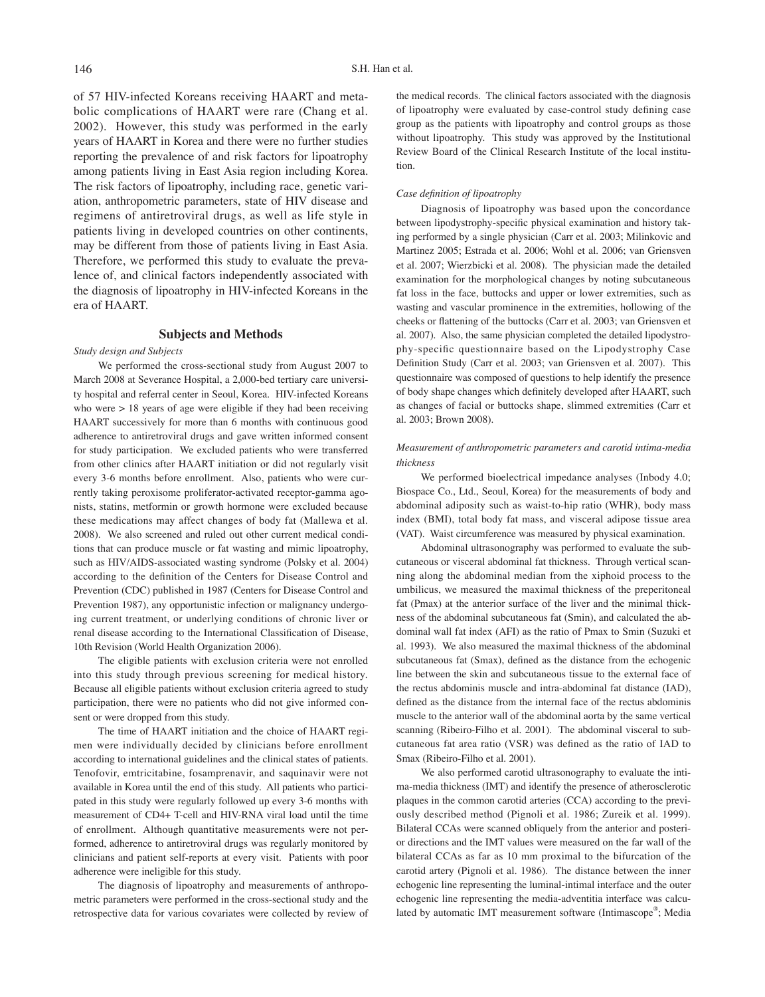of 57 HIV-infected Koreans receiving HAART and metabolic complications of HAART were rare (Chang et al. 2002). However, this study was performed in the early years of HAART in Korea and there were no further studies reporting the prevalence of and risk factors for lipoatrophy among patients living in East Asia region including Korea. The risk factors of lipoatrophy, including race, genetic variation, anthropometric parameters, state of HIV disease and regimens of antiretroviral drugs, as well as life style in patients living in developed countries on other continents, may be different from those of patients living in East Asia. Therefore, we performed this study to evaluate the prevalence of, and clinical factors independently associated with the diagnosis of lipoatrophy in HIV-infected Koreans in the era of HAART.

#### **Subjects and Methods**

*Study design and Subjects*

We performed the cross-sectional study from August 2007 to March 2008 at Severance Hospital, a 2,000-bed tertiary care university hospital and referral center in Seoul, Korea. HIV-infected Koreans who were  $> 18$  years of age were eligible if they had been receiving HAART successively for more than 6 months with continuous good adherence to antiretroviral drugs and gave written informed consent for study participation. We excluded patients who were transferred from other clinics after HAART initiation or did not regularly visit every 3-6 months before enrollment. Also, patients who were currently taking peroxisome proliferator-activated receptor-gamma agonists, statins, metformin or growth hormone were excluded because these medications may affect changes of body fat (Mallewa et al. 2008). We also screened and ruled out other current medical conditions that can produce muscle or fat wasting and mimic lipoatrophy, such as HIV/AIDS-associated wasting syndrome (Polsky et al. 2004) according to the definition of the Centers for Disease Control and Prevention (CDC) published in 1987 (Centers for Disease Control and Prevention 1987), any opportunistic infection or malignancy undergoing current treatment, or underlying conditions of chronic liver or renal disease according to the International Classification of Disease, 10th Revision (World Health Organization 2006).

The eligible patients with exclusion criteria were not enrolled into this study through previous screening for medical history. Because all eligible patients without exclusion criteria agreed to study participation, there were no patients who did not give informed consent or were dropped from this study.

The time of HAART initiation and the choice of HAART regimen were individually decided by clinicians before enrollment according to international guidelines and the clinical states of patients. Tenofovir, emtricitabine, fosamprenavir, and saquinavir were not available in Korea until the end of this study. All patients who participated in this study were regularly followed up every 3-6 months with measurement of CD4+ T-cell and HIV-RNA viral load until the time of enrollment. Although quantitative measurements were not performed, adherence to antiretroviral drugs was regularly monitored by clinicians and patient self-reports at every visit. Patients with poor adherence were ineligible for this study.

The diagnosis of lipoatrophy and measurements of anthropometric parameters were performed in the cross-sectional study and the retrospective data for various covariates were collected by review of the medical records. The clinical factors associated with the diagnosis of lipoatrophy were evaluated by case-control study defining case group as the patients with lipoatrophy and control groups as those without lipoatrophy. This study was approved by the Institutional Review Board of the Clinical Research Institute of the local institution.

#### *Case definition of lipoatrophy*

Diagnosis of lipoatrophy was based upon the concordance between lipodystrophy-specific physical examination and history taking performed by a single physician (Carr et al. 2003; Milinkovic and Martinez 2005; Estrada et al. 2006; Wohl et al. 2006; van Griensven et al. 2007; Wierzbicki et al. 2008). The physician made the detailed examination for the morphological changes by noting subcutaneous fat loss in the face, buttocks and upper or lower extremities, such as wasting and vascular prominence in the extremities, hollowing of the cheeks or flattening of the buttocks (Carr et al. 2003; van Griensven et al. 2007). Also, the same physician completed the detailed lipodystrophy-specific questionnaire based on the Lipodystrophy Case Definition Study (Carr et al. 2003; van Griensven et al. 2007). This questionnaire was composed of questions to help identify the presence of body shape changes which definitely developed after HAART, such as changes of facial or buttocks shape, slimmed extremities (Carr et al. 2003; Brown 2008).

### *Measurement of anthropometric parameters and carotid intima-media thickness*

We performed bioelectrical impedance analyses (Inbody 4.0; Biospace Co., Ltd., Seoul, Korea) for the measurements of body and abdominal adiposity such as waist-to-hip ratio (WHR), body mass index (BMI), total body fat mass, and visceral adipose tissue area (VAT). Waist circumference was measured by physical examination.

Abdominal ultrasonography was performed to evaluate the subcutaneous or visceral abdominal fat thickness. Through vertical scanning along the abdominal median from the xiphoid process to the umbilicus, we measured the maximal thickness of the preperitoneal fat (Pmax) at the anterior surface of the liver and the minimal thickness of the abdominal subcutaneous fat (Smin), and calculated the abdominal wall fat index (AFI) as the ratio of Pmax to Smin (Suzuki et al. 1993). We also measured the maximal thickness of the abdominal subcutaneous fat (Smax), defined as the distance from the echogenic line between the skin and subcutaneous tissue to the external face of the rectus abdominis muscle and intra-abdominal fat distance (IAD), defined as the distance from the internal face of the rectus abdominis muscle to the anterior wall of the abdominal aorta by the same vertical scanning (Ribeiro-Filho et al. 2001). The abdominal visceral to subcutaneous fat area ratio (VSR) was defined as the ratio of IAD to Smax (Ribeiro-Filho et al. 2001).

We also performed carotid ultrasonography to evaluate the intima-media thickness (IMT) and identify the presence of atherosclerotic plaques in the common carotid arteries (CCA) according to the previously described method (Pignoli et al. 1986; Zureik et al. 1999). Bilateral CCAs were scanned obliquely from the anterior and posterior directions and the IMT values were measured on the far wall of the bilateral CCAs as far as 10 mm proximal to the bifurcation of the carotid artery (Pignoli et al. 1986). The distance between the inner echogenic line representing the luminal-intimal interface and the outer echogenic line representing the media-adventitia interface was calculated by automatic IMT measurement software (Intimascope®; Media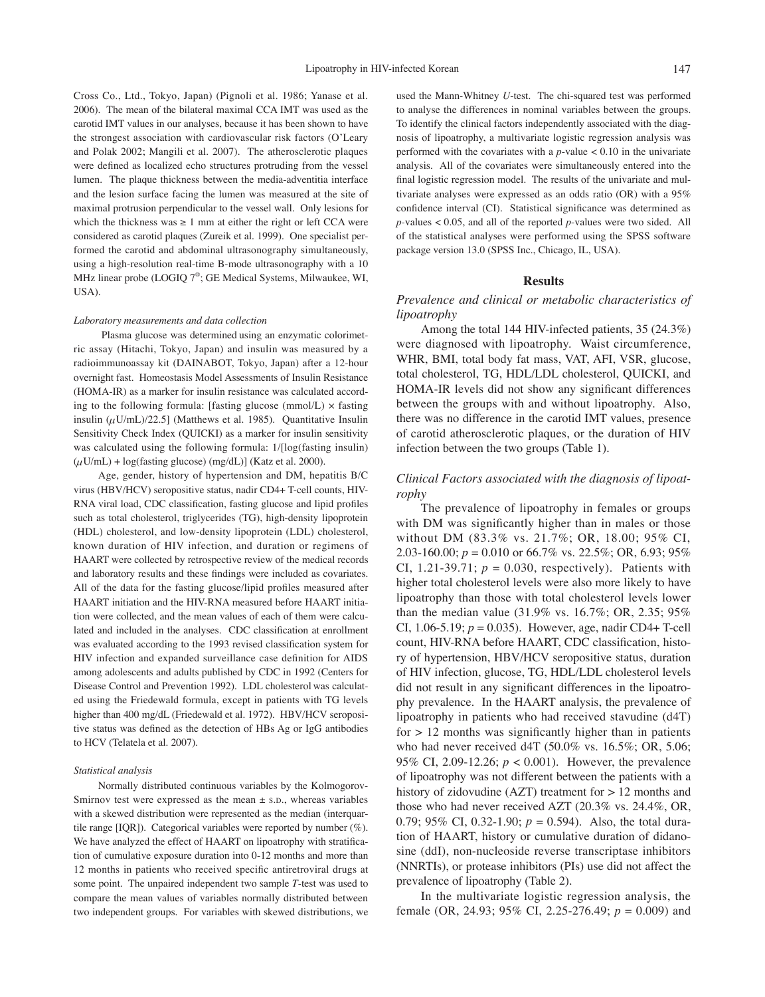Cross Co., Ltd., Tokyo, Japan) (Pignoli et al. 1986; Yanase et al. 2006). The mean of the bilateral maximal CCA IMT was used as the carotid IMT values in our analyses, because it has been shown to have the strongest association with cardiovascular risk factors (O'Leary and Polak 2002; Mangili et al. 2007). The atherosclerotic plaques were defined as localized echo structures protruding from the vessel lumen. The plaque thickness between the media-adventitia interface and the lesion surface facing the lumen was measured at the site of maximal protrusion perpendicular to the vessel wall. Only lesions for which the thickness was  $\geq 1$  mm at either the right or left CCA were considered as carotid plaques (Zureik et al. 1999). One specialist performed the carotid and abdominal ultrasonography simultaneously, using a high-resolution real-time B-mode ultrasonography with a 10 MHz linear probe (LOGIQ 7® ; GE Medical Systems, Milwaukee, WI, USA).

#### *Laboratory measurements and data collection*

 Plasma glucose was determined using an enzymatic colorimetric assay (Hitachi, Tokyo, Japan) and insulin was measured by a radioimmunoassay kit (DAINABOT, Tokyo, Japan) after a 12-hour overnight fast. Homeostasis Model Assessments of Insulin Resistance (HOMA-IR) as a marker for insulin resistance was calculated according to the following formula: [fasting glucose  $(mmol/L) \times$  fasting insulin  $(\mu U/mL)/22.5$ ] (Matthews et al. 1985). Quantitative Insulin Sensitivity Check Index (QUICKI) as a marker for insulin sensitivity was calculated using the following formula: 1/[log(fasting insulin)  $(\mu U/mL) + \log(fasting glucose) (mg/dL)$  (Katz et al. 2000).

Age, gender, history of hypertension and DM, hepatitis B/C virus (HBV/HCV) seropositive status, nadir CD4+ T-cell counts, HIV-RNA viral load, CDC classification, fasting glucose and lipid profiles such as total cholesterol, triglycerides (TG), high-density lipoprotein (HDL) cholesterol, and low-density lipoprotein (LDL) cholesterol, known duration of HIV infection, and duration or regimens of HAART were collected by retrospective review of the medical records and laboratory results and these findings were included as covariates. All of the data for the fasting glucose/lipid profiles measured after HAART initiation and the HIV-RNA measured before HAART initiation were collected, and the mean values of each of them were calculated and included in the analyses. CDC classification at enrollment was evaluated according to the 1993 revised classification system for HIV infection and expanded surveillance case definition for AIDS among adolescents and adults published by CDC in 1992 (Centers for Disease Control and Prevention 1992). LDL cholesterol was calculated using the Friedewald formula, except in patients with TG levels higher than 400 mg/dL (Friedewald et al. 1972). HBV/HCV seropositive status was defined as the detection of HBs Ag or IgG antibodies to HCV (Telatela et al. 2007).

#### *Statistical analysis*

Normally distributed continuous variables by the Kolmogorov-Smirnov test were expressed as the mean  $\pm$  s.D., whereas variables with a skewed distribution were represented as the median (interquartile range [IQR]). Categorical variables were reported by number  $(\%)$ . We have analyzed the effect of HAART on lipoatrophy with stratification of cumulative exposure duration into 0-12 months and more than 12 months in patients who received specific antiretroviral drugs at some point. The unpaired independent two sample *T*-test was used to compare the mean values of variables normally distributed between two independent groups. For variables with skewed distributions, we used the Mann-Whitney *U*-test. The chi-squared test was performed to analyse the differences in nominal variables between the groups. To identify the clinical factors independently associated with the diagnosis of lipoatrophy, a multivariate logistic regression analysis was performed with the covariates with a  $p$ -value  $< 0.10$  in the univariate analysis. All of the covariates were simultaneously entered into the final logistic regression model. The results of the univariate and multivariate analyses were expressed as an odds ratio (OR) with a 95% confidence interval (CI). Statistical significance was determined as *p-*values < 0.05, and all of the reported *p*-values were two sided. All of the statistical analyses were performed using the SPSS software package version 13.0 (SPSS Inc., Chicago, IL, USA).

#### **Results**

## *Prevalence and clinical or metabolic characteristics of lipoatrophy*

Among the total 144 HIV-infected patients, 35 (24.3%) were diagnosed with lipoatrophy. Waist circumference, WHR, BMI, total body fat mass, VAT, AFI, VSR, glucose, total cholesterol, TG, HDL/LDL cholesterol, QUICKI, and HOMA-IR levels did not show any significant differences between the groups with and without lipoatrophy. Also, there was no difference in the carotid IMT values, presence of carotid atherosclerotic plaques, or the duration of HIV infection between the two groups (Table 1).

## *Clinical Factors associated with the diagnosis of lipoatrophy*

The prevalence of lipoatrophy in females or groups with DM was significantly higher than in males or those without DM (83.3% vs. 21.7%; OR, 18.00; 95% CI, 2.03-160.00; *p* = 0.010 or 66.7% vs. 22.5%; OR, 6.93; 95% CI, 1.21-39.71;  $p = 0.030$ , respectively). Patients with higher total cholesterol levels were also more likely to have lipoatrophy than those with total cholesterol levels lower than the median value (31.9% vs. 16.7%; OR, 2.35; 95% CI,  $1.06 - 5.19$ ;  $p = 0.035$ ). However, age, nadir CD4+ T-cell count, HIV-RNA before HAART, CDC classification, history of hypertension, HBV/HCV seropositive status, duration of HIV infection, glucose, TG, HDL/LDL cholesterol levels did not result in any significant differences in the lipoatrophy prevalence. In the HAART analysis, the prevalence of lipoatrophy in patients who had received stavudine (d4T)  $for > 12$  months was significantly higher than in patients who had never received d4T (50.0% vs. 16.5%; OR, 5.06; 95% CI, 2.09-12.26; *p* < 0.001). However, the prevalence of lipoatrophy was not different between the patients with a history of zidovudine (AZT) treatment for  $> 12$  months and those who had never received AZT (20.3% vs. 24.4%, OR, 0.79; 95% CI, 0.32-1.90;  $p = 0.594$ ). Also, the total duration of HAART, history or cumulative duration of didanosine (ddI), non-nucleoside reverse transcriptase inhibitors (NNRTIs), or protease inhibitors (PIs) use did not affect the prevalence of lipoatrophy (Table 2).

In the multivariate logistic regression analysis, the female (OR, 24.93; 95% CI, 2.25-276.49; *p* = 0.009) and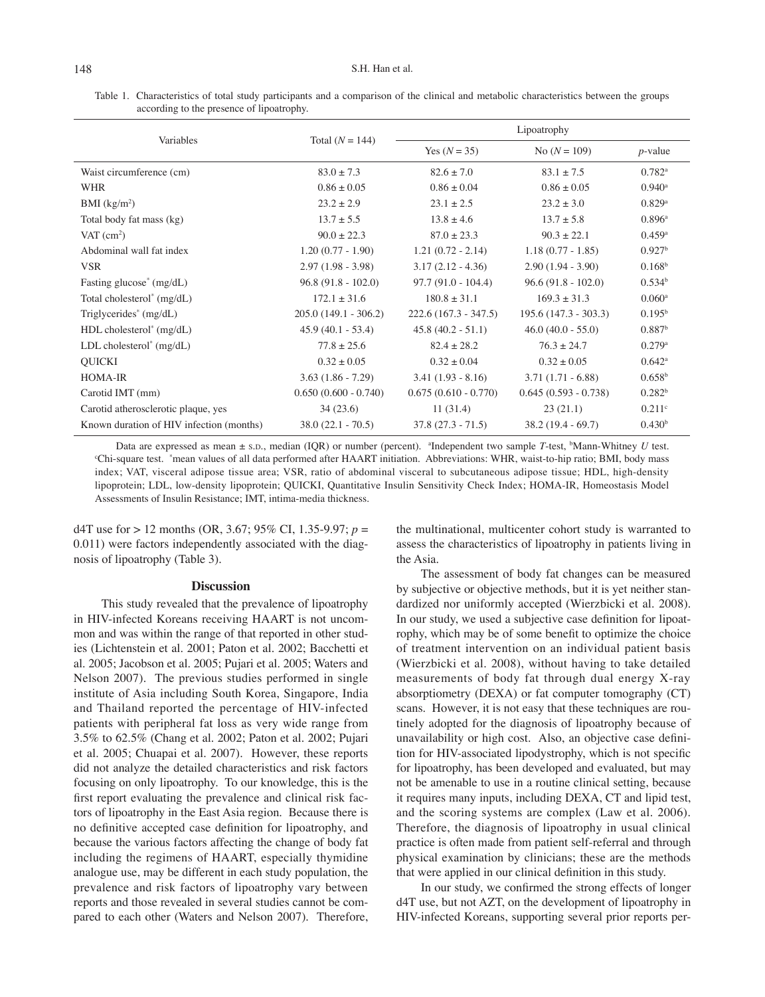Table 1. Characteristics of total study participants and a comparison of the clinical and metabolic characteristics between the groups according to the presence of lipoatrophy.

| Variables                                | Total $(N = 144)$      | Lipoatrophy            |                        |                      |
|------------------------------------------|------------------------|------------------------|------------------------|----------------------|
|                                          |                        | Yes $(N = 35)$         | No $(N = 109)$         | $p$ -value           |
| Waist circumference (cm)                 | $83.0 \pm 7.3$         | $82.6 \pm 7.0$         | $83.1 + 7.5$           | $0.782$ <sup>a</sup> |
| <b>WHR</b>                               | $0.86 \pm 0.05$        | $0.86 \pm 0.04$        | $0.86 \pm 0.05$        | $0.940$ <sup>a</sup> |
| $BMI$ (kg/m <sup>2</sup> )               | $23.2 \pm 2.9$         | $23.1 \pm 2.5$         | $23.2 \pm 3.0$         | $0.829$ <sup>a</sup> |
| Total body fat mass (kg)                 | $13.7 \pm 5.5$         | $13.8 \pm 4.6$         | $13.7 \pm 5.8$         | $0.896^{\rm a}$      |
| VAT $(cm^2)$                             | $90.0 \pm 22.3$        | $87.0 \pm 23.3$        | $90.3 \pm 22.1$        | $0.459$ <sup>a</sup> |
| Abdominal wall fat index                 | $1.20(0.77 - 1.90)$    | $1.21(0.72 - 2.14)$    | $1.18(0.77 - 1.85)$    | 0.927 <sup>b</sup>   |
| <b>VSR</b>                               | $2.97(1.98 - 3.98)$    | $3.17(2.12 - 4.36)$    | $2.90(1.94 - 3.90)$    | 0.168 <sup>b</sup>   |
| Fasting glucose <sup>*</sup> (mg/dL)     | $96.8(91.8 - 102.0)$   | $97.7(91.0 - 104.4)$   | $96.6(91.8 - 102.0)$   | 0.534 <sup>b</sup>   |
| Total cholesterol <sup>*</sup> (mg/dL)   | $172.1 \pm 31.6$       | $180.8 + 31.1$         | $169.3 + 31.3$         | $0.060$ <sup>a</sup> |
| Triglycerides <sup>*</sup> $(mg/dL)$     | $205.0(149.1 - 306.2)$ | $222.6(167.3 - 347.5)$ | $195.6(147.3 - 303.3)$ | $0.195^{\rm b}$      |
| HDL cholesterol <sup>*</sup> (mg/dL)     | $45.9(40.1 - 53.4)$    | $45.8(40.2 - 51.1)$    | $46.0 (40.0 - 55.0)$   | 0.887 <sup>b</sup>   |
| $LDL$ cholesterol <sup>*</sup> (mg/dL)   | $77.8 \pm 25.6$        | $82.4 + 28.2$          | $76.3 \pm 24.7$        | $0.279$ <sup>a</sup> |
| <b>QUICKI</b>                            | $0.32 \pm 0.05$        | $0.32 \pm 0.04$        | $0.32 \pm 0.05$        | $0.642^{\circ}$      |
| HOMA-IR                                  | $3.63(1.86 - 7.29)$    | $3.41(1.93 - 8.16)$    | $3.71(1.71 - 6.88)$    | 0.658 <sup>b</sup>   |
| Carotid IMT (mm)                         | $0.650(0.600 - 0.740)$ | $0.675(0.610 - 0.770)$ | $0.645(0.593 - 0.738)$ | 0.282 <sup>b</sup>   |
| Carotid atherosclerotic plaque, yes      | 34(23.6)               | 11(31.4)               | 23(21.1)               | $0.211$ <sup>c</sup> |
| Known duration of HIV infection (months) | $38.0(22.1 - 70.5)$    | $37.8(27.3 - 71.5)$    | $38.2(19.4 - 69.7)$    | 0.430 <sup>b</sup>   |

Data are expressed as mean  $\pm$  s.p., median (IQR) or number (percent). <sup>a</sup>Independent two sample *T*-test, <sup>b</sup> Data are expressed as mean  $\pm$  s.p., median (IQR) or number (percent). <sup>a</sup>Independent two sample *T*-test, <sup>b</sup>Mann-Whitney *U* test.<br>Chi-square test. \*mean values of all data performed after HAART initiation. Abbreviation index; VAT, visceral adipose tissue area; VSR, ratio of abdominal visceral to subcutaneous adipose tissue; HDL, high-density lipoprotein; LDL, low-density lipoprotein; QUICKI, Quantitative Insulin Sensitivity Check Index; HOMA-IR, Homeostasis Model Assessments of Insulin Resistance; IMT, intima-media thickness.

d4T use for > 12 months (OR, 3.67; 95% CI, 1.35-9.97; *p* = 0.011) were factors independently associated with the diagnosis of lipoatrophy (Table 3).

#### **Discussion**

 This study revealed that the prevalence of lipoatrophy in HIV-infected Koreans receiving HAART is not uncommon and was within the range of that reported in other studies (Lichtenstein et al. 2001; Paton et al. 2002; Bacchetti et al. 2005; Jacobson et al. 2005; Pujari et al. 2005; Waters and Nelson 2007). The previous studies performed in single institute of Asia including South Korea, Singapore, India and Thailand reported the percentage of HIV-infected patients with peripheral fat loss as very wide range from 3.5% to 62.5% (Chang et al. 2002; Paton et al. 2002; Pujari et al. 2005; Chuapai et al. 2007). However, these reports did not analyze the detailed characteristics and risk factors focusing on only lipoatrophy. To our knowledge, this is the first report evaluating the prevalence and clinical risk factors of lipoatrophy in the East Asia region. Because there is no definitive accepted case definition for lipoatrophy, and because the various factors affecting the change of body fat including the regimens of HAART, especially thymidine analogue use, may be different in each study population, the prevalence and risk factors of lipoatrophy vary between reports and those revealed in several studies cannot be compared to each other (Waters and Nelson 2007). Therefore, the multinational, multicenter cohort study is warranted to assess the characteristics of lipoatrophy in patients living in the Asia.

The assessment of body fat changes can be measured by subjective or objective methods, but it is yet neither standardized nor uniformly accepted (Wierzbicki et al. 2008). In our study, we used a subjective case definition for lipoatrophy, which may be of some benefit to optimize the choice of treatment intervention on an individual patient basis (Wierzbicki et al. 2008), without having to take detailed measurements of body fat through dual energy X-ray absorptiometry (DEXA) or fat computer tomography (CT) scans. However, it is not easy that these techniques are routinely adopted for the diagnosis of lipoatrophy because of unavailability or high cost. Also, an objective case definition for HIV-associated lipodystrophy, which is not specific for lipoatrophy, has been developed and evaluated, but may not be amenable to use in a routine clinical setting, because it requires many inputs, including DEXA, CT and lipid test, and the scoring systems are complex (Law et al. 2006). Therefore, the diagnosis of lipoatrophy in usual clinical practice is often made from patient self-referral and through physical examination by clinicians; these are the methods that were applied in our clinical definition in this study.

In our study, we confirmed the strong effects of longer d4T use, but not AZT, on the development of lipoatrophy in HIV-infected Koreans, supporting several prior reports per-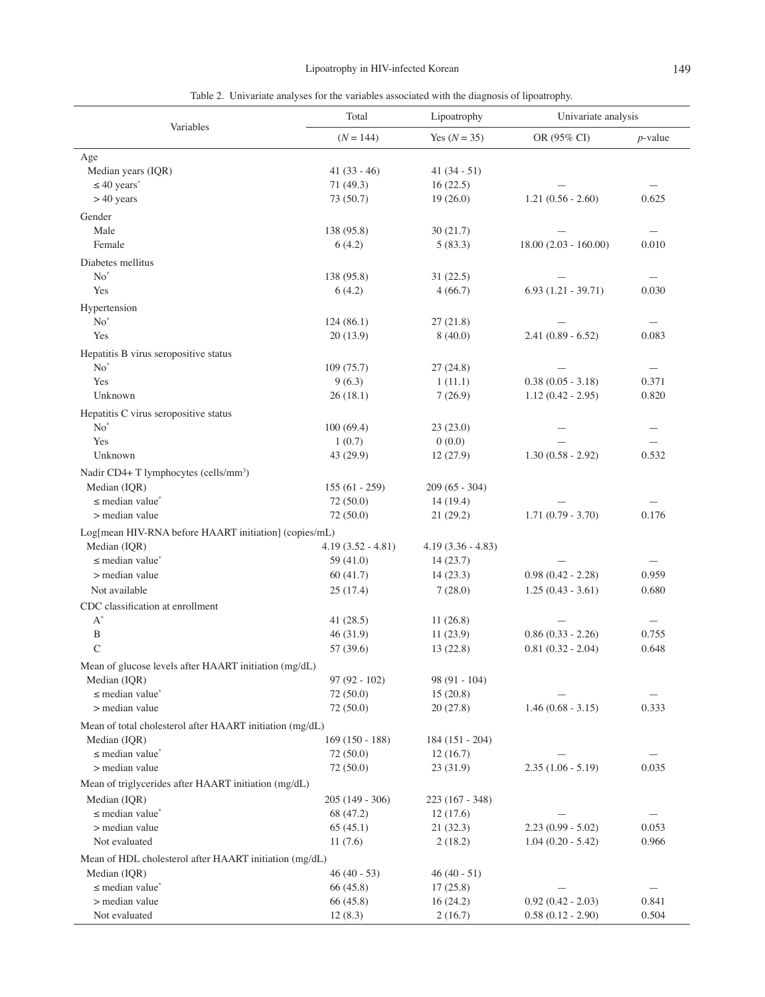|  | I<br>۰, |
|--|---------|
|--|---------|

Table 2.Univariate analyses for the variables associated with the diagnosis of lipoatrophy.

| Variables                                                | Total               | Lipoatrophy         | Univariate analysis    |                          |
|----------------------------------------------------------|---------------------|---------------------|------------------------|--------------------------|
|                                                          | $(N = 144)$         | Yes $(N = 35)$      | OR (95% CI)            | $p$ -value               |
| Age                                                      |                     |                     |                        |                          |
| Median years (IQR)                                       | $41(33-46)$         | $41(34-51)$         |                        |                          |
| $\leq 40$ years <sup>*</sup>                             | 71 (49.3)           | 16(22.5)            |                        |                          |
| $>40$ years                                              | 73 (50.7)           | 19(26.0)            | $1.21(0.56 - 2.60)$    | 0.625                    |
| Gender                                                   |                     |                     |                        |                          |
| Male                                                     | 138 (95.8)          | 30(21.7)            |                        | $\overline{\phantom{0}}$ |
| Female                                                   | 6(4.2)              | 5(83.3)             | $18.00(2.03 - 160.00)$ | 0.010                    |
| Diabetes mellitus                                        |                     |                     |                        |                          |
| $No^*$                                                   | 138 (95.8)          | 31(22.5)            |                        |                          |
| Yes                                                      | 6(4.2)              | 4(66.7)             | $6.93(1.21 - 39.71)$   | 0.030                    |
| Hypertension                                             |                     |                     |                        |                          |
| $No^*$                                                   | 124(86.1)           | 27(21.8)            |                        |                          |
| Yes                                                      | 20(13.9)            | 8(40.0)             | $2.41(0.89 - 6.52)$    | 0.083                    |
| Hepatitis B virus seropositive status                    |                     |                     |                        |                          |
| $No^*$                                                   | 109(75.7)           | 27(24.8)            |                        |                          |
| Yes                                                      | 9(6.3)              | 1(11.1)             | $0.38(0.05 - 3.18)$    | 0.371                    |
| Unknown                                                  | 26(18.1)            | 7(26.9)             | $1.12(0.42 - 2.95)$    | 0.820                    |
|                                                          |                     |                     |                        |                          |
| Hepatitis C virus seropositive status<br>$No^*$          |                     |                     |                        |                          |
| Yes                                                      | 100(69.4)<br>1(0.7) | 23(23.0)<br>0(0.0)  |                        |                          |
| Unknown                                                  | 43 (29.9)           | 12(27.9)            | $1.30(0.58 - 2.92)$    | 0.532                    |
|                                                          |                     |                     |                        |                          |
| Nadir CD4+ T lymphocytes (cells/mm <sup>3</sup> )        |                     |                     |                        |                          |
| Median (IQR)                                             | $155(61 - 259)$     | $209(65 - 304)$     |                        |                          |
| $\leq$ median value <sup>*</sup>                         | 72(50.0)            | 14(19.4)            | $1.71(0.79 - 3.70)$    | 0.176                    |
| > median value                                           | 72 (50.0)           | 21(29.2)            |                        |                          |
| Log[mean HIV-RNA before HAART initiation] (copies/mL)    |                     |                     |                        |                          |
| Median (IQR)                                             | $4.19(3.52 - 4.81)$ | $4.19(3.36 - 4.83)$ |                        |                          |
| $\leq$ median value <sup>*</sup>                         | 59 $(41.0)$         | 14(23.7)            |                        |                          |
| > median value                                           | 60(41.7)            | 14(23.3)            | $0.98(0.42 - 2.28)$    | 0.959                    |
| Not available                                            | 25(17.4)            | 7(28.0)             | $1.25(0.43 - 3.61)$    | 0.680                    |
| CDC classification at enrollment                         |                     |                     |                        |                          |
| $A^*$                                                    | 41(28.5)            | 11(26.8)            |                        |                          |
| $\, {\bf B}$                                             | 46(31.9)            | 11(23.9)            | $0.86(0.33 - 2.26)$    | 0.755                    |
| $\mathcal{C}$                                            | 57 (39.6)           | 13(22.8)            | $0.81(0.32 - 2.04)$    | 0.648                    |
| Mean of glucose levels after HAART initiation (mg/dL)    |                     |                     |                        |                          |
| Median (IQR)                                             | $97(92 - 102)$      | $98(91 - 104)$      |                        |                          |
| $\leq$ median value <sup>*</sup>                         | 72 (50.0)           | 15(20.8)            |                        |                          |
| > median value                                           | 72(50.0)            | 20(27.8)            | $1.46(0.68 - 3.15)$    | 0.333                    |
| Mean of total cholesterol after HAART initiation (mg/dL) |                     |                     |                        |                          |
| Median (IQR)                                             | $169(150 - 188)$    | 184 (151 - 204)     |                        |                          |
| $\leq$ median value <sup>*</sup>                         | 72(50.0)            | 12(16.7)            |                        |                          |
| > median value                                           | 72(50.0)            | 23(31.9)            | $2.35(1.06 - 5.19)$    | 0.035                    |
| Mean of triglycerides after HAART initiation (mg/dL)     |                     |                     |                        |                          |
| Median (IQR)                                             | $205(149 - 306)$    | $223(167 - 348)$    |                        |                          |
| $\leq$ median value <sup>*</sup>                         | 68 (47.2)           | 12(17.6)            |                        |                          |
| > median value                                           | 65(45.1)            | 21(32.3)            | $2.23(0.99 - 5.02)$    | 0.053                    |
| Not evaluated                                            | 11(7.6)             | 2(18.2)             | $1.04(0.20 - 5.42)$    | 0.966                    |
| Mean of HDL cholesterol after HAART initiation (mg/dL)   |                     |                     |                        |                          |
| Median (IQR)                                             | $46(40 - 53)$       | $46(40-51)$         |                        |                          |
| $\leq$ median value <sup>*</sup>                         | 66 (45.8)           | 17(25.8)            |                        |                          |
| > median value                                           | 66 (45.8)           | 16(24.2)            | $0.92(0.42 - 2.03)$    | 0.841                    |
| Not evaluated                                            | 12(8.3)             | 2(16.7)             | $0.58(0.12 - 2.90)$    | 0.504                    |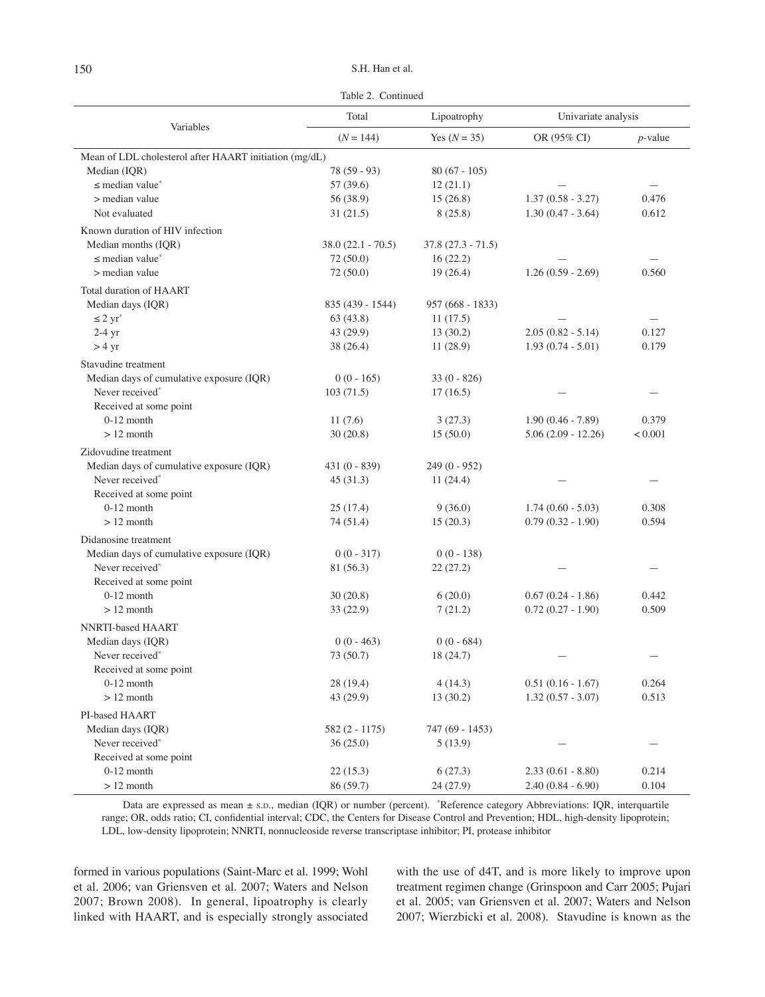Table 2.Continued

| OR (95% CI)<br>$(N = 144)$<br>Yes $(N = 35)$<br>$p$ -value<br>Mean of LDL cholesterol after HAART initiation (mg/dL)<br>Median (IQR)<br>$78(59-93)$<br>$80(67 - 105)$<br>$\leq$ median value <sup>*</sup><br>12(21.1)<br>57 (39.6)<br>> median value<br>$1.37(0.58 - 3.27)$<br>0.476<br>56 (38.9)<br>15(26.8)<br>Not evaluated<br>8(25.8)<br>$1.30(0.47 - 3.64)$<br>0.612<br>31(21.5)<br>Known duration of HIV infection<br>Median months (IOR)<br>$38.0(22.1 - 70.5)$<br>$37.8(27.3 - 71.5)$<br>$\leq$ median value <sup>*</sup><br>72 (50.0)<br>16(22.2)<br>> median value<br>72 (50.0)<br>19(26.4)<br>$1.26(0.59 - 2.69)$<br>0.560<br>Total duration of HAART<br>Median days (IQR)<br>835 (439 - 1544)<br>957 (668 - 1833)<br>$\leq 2$ yr <sup>*</sup><br>63(43.8)<br>11(17.5)<br>$2.05(0.82 - 5.14)$<br>43 (29.9)<br>13(30.2)<br>0.127<br>$2-4$ yr<br>$1.93(0.74 - 5.01)$<br>$> 4 \text{ yr}$<br>38 (26.4)<br>11(28.9)<br>0.179<br>Stavudine treatment<br>Median days of cumulative exposure (IQR)<br>$0(0 - 165)$<br>$33(0 - 826)$<br>Never received*<br>103(71.5)<br>17(16.5)<br>Received at some point<br>$0-12$ month<br>11(7.6)<br>3(27.3)<br>$1.90(0.46 - 7.89)$<br>0.379<br>$>12$ month<br>15(50.0)<br>$5.06(2.09 - 12.26)$<br>< 0.001<br>30(20.8)<br>Zidovudine treatment<br>Median days of cumulative exposure (IQR)<br>$431(0 - 839)$<br>$249(0 - 952)$<br>Never received*<br>11(24.4)<br>45(31.3)<br>Received at some point<br>$0-12$ month<br>25(17.4)<br>9(36.0)<br>$1.74(0.60 - 5.03)$<br>0.308<br>$>12$ month<br>$0.79(0.32 - 1.90)$<br>0.594<br>74 (51.4)<br>15(20.3)<br>Didanosine treatment<br>Median days of cumulative exposure (IQR)<br>$0(0 - 317)$<br>$0(0 - 138)$<br>Never received*<br>81 (56.3)<br>22(27.2)<br>Received at some point<br>$0-12$ month<br>0.442<br>30(20.8)<br>6(20.0)<br>$0.67(0.24 - 1.86)$<br>0.509<br>$>12$ month<br>33 (22.9)<br>7(21.2)<br>$0.72(0.27 - 1.90)$<br>NNRTI-based HAART<br>Median days (IQR)<br>$0(0 - 463)$<br>$0(0 - 684)$<br>Never received*<br>73 (50.7)<br>18 (24.7)<br>Received at some point<br>$0-12$ month<br>4(14.3)<br>0.264<br>28 (19.4)<br>$0.51(0.16 - 1.67)$<br>0.513<br>$>12$ month<br>43 (29.9)<br>13(30.2)<br>$1.32(0.57 - 3.07)$<br>PI-based HAART<br>Median days (IQR)<br>582 (2 - 1175)<br>747 (69 - 1453)<br>Never received*<br>36(25.0)<br>5(13.9)<br>Received at some point<br>$0-12$ month<br>22(15.3)<br>6(27.3)<br>$2.33(0.61 - 8.80)$<br>0.214 | Variables   | Total     | Lipoatrophy | Univariate analysis |       |
|-------------------------------------------------------------------------------------------------------------------------------------------------------------------------------------------------------------------------------------------------------------------------------------------------------------------------------------------------------------------------------------------------------------------------------------------------------------------------------------------------------------------------------------------------------------------------------------------------------------------------------------------------------------------------------------------------------------------------------------------------------------------------------------------------------------------------------------------------------------------------------------------------------------------------------------------------------------------------------------------------------------------------------------------------------------------------------------------------------------------------------------------------------------------------------------------------------------------------------------------------------------------------------------------------------------------------------------------------------------------------------------------------------------------------------------------------------------------------------------------------------------------------------------------------------------------------------------------------------------------------------------------------------------------------------------------------------------------------------------------------------------------------------------------------------------------------------------------------------------------------------------------------------------------------------------------------------------------------------------------------------------------------------------------------------------------------------------------------------------------------------------------------------------------------------------------------------------------------------------------------------------------------------------------------------------------------------------------------------------------------------------------------------------------------------------------|-------------|-----------|-------------|---------------------|-------|
|                                                                                                                                                                                                                                                                                                                                                                                                                                                                                                                                                                                                                                                                                                                                                                                                                                                                                                                                                                                                                                                                                                                                                                                                                                                                                                                                                                                                                                                                                                                                                                                                                                                                                                                                                                                                                                                                                                                                                                                                                                                                                                                                                                                                                                                                                                                                                                                                                                           |             |           |             |                     |       |
|                                                                                                                                                                                                                                                                                                                                                                                                                                                                                                                                                                                                                                                                                                                                                                                                                                                                                                                                                                                                                                                                                                                                                                                                                                                                                                                                                                                                                                                                                                                                                                                                                                                                                                                                                                                                                                                                                                                                                                                                                                                                                                                                                                                                                                                                                                                                                                                                                                           |             |           |             |                     |       |
|                                                                                                                                                                                                                                                                                                                                                                                                                                                                                                                                                                                                                                                                                                                                                                                                                                                                                                                                                                                                                                                                                                                                                                                                                                                                                                                                                                                                                                                                                                                                                                                                                                                                                                                                                                                                                                                                                                                                                                                                                                                                                                                                                                                                                                                                                                                                                                                                                                           |             |           |             |                     |       |
|                                                                                                                                                                                                                                                                                                                                                                                                                                                                                                                                                                                                                                                                                                                                                                                                                                                                                                                                                                                                                                                                                                                                                                                                                                                                                                                                                                                                                                                                                                                                                                                                                                                                                                                                                                                                                                                                                                                                                                                                                                                                                                                                                                                                                                                                                                                                                                                                                                           |             |           |             |                     |       |
|                                                                                                                                                                                                                                                                                                                                                                                                                                                                                                                                                                                                                                                                                                                                                                                                                                                                                                                                                                                                                                                                                                                                                                                                                                                                                                                                                                                                                                                                                                                                                                                                                                                                                                                                                                                                                                                                                                                                                                                                                                                                                                                                                                                                                                                                                                                                                                                                                                           |             |           |             |                     |       |
|                                                                                                                                                                                                                                                                                                                                                                                                                                                                                                                                                                                                                                                                                                                                                                                                                                                                                                                                                                                                                                                                                                                                                                                                                                                                                                                                                                                                                                                                                                                                                                                                                                                                                                                                                                                                                                                                                                                                                                                                                                                                                                                                                                                                                                                                                                                                                                                                                                           |             |           |             |                     |       |
|                                                                                                                                                                                                                                                                                                                                                                                                                                                                                                                                                                                                                                                                                                                                                                                                                                                                                                                                                                                                                                                                                                                                                                                                                                                                                                                                                                                                                                                                                                                                                                                                                                                                                                                                                                                                                                                                                                                                                                                                                                                                                                                                                                                                                                                                                                                                                                                                                                           |             |           |             |                     |       |
|                                                                                                                                                                                                                                                                                                                                                                                                                                                                                                                                                                                                                                                                                                                                                                                                                                                                                                                                                                                                                                                                                                                                                                                                                                                                                                                                                                                                                                                                                                                                                                                                                                                                                                                                                                                                                                                                                                                                                                                                                                                                                                                                                                                                                                                                                                                                                                                                                                           |             |           |             |                     |       |
|                                                                                                                                                                                                                                                                                                                                                                                                                                                                                                                                                                                                                                                                                                                                                                                                                                                                                                                                                                                                                                                                                                                                                                                                                                                                                                                                                                                                                                                                                                                                                                                                                                                                                                                                                                                                                                                                                                                                                                                                                                                                                                                                                                                                                                                                                                                                                                                                                                           |             |           |             |                     |       |
|                                                                                                                                                                                                                                                                                                                                                                                                                                                                                                                                                                                                                                                                                                                                                                                                                                                                                                                                                                                                                                                                                                                                                                                                                                                                                                                                                                                                                                                                                                                                                                                                                                                                                                                                                                                                                                                                                                                                                                                                                                                                                                                                                                                                                                                                                                                                                                                                                                           |             |           |             |                     |       |
|                                                                                                                                                                                                                                                                                                                                                                                                                                                                                                                                                                                                                                                                                                                                                                                                                                                                                                                                                                                                                                                                                                                                                                                                                                                                                                                                                                                                                                                                                                                                                                                                                                                                                                                                                                                                                                                                                                                                                                                                                                                                                                                                                                                                                                                                                                                                                                                                                                           |             |           |             |                     |       |
|                                                                                                                                                                                                                                                                                                                                                                                                                                                                                                                                                                                                                                                                                                                                                                                                                                                                                                                                                                                                                                                                                                                                                                                                                                                                                                                                                                                                                                                                                                                                                                                                                                                                                                                                                                                                                                                                                                                                                                                                                                                                                                                                                                                                                                                                                                                                                                                                                                           |             |           |             |                     |       |
|                                                                                                                                                                                                                                                                                                                                                                                                                                                                                                                                                                                                                                                                                                                                                                                                                                                                                                                                                                                                                                                                                                                                                                                                                                                                                                                                                                                                                                                                                                                                                                                                                                                                                                                                                                                                                                                                                                                                                                                                                                                                                                                                                                                                                                                                                                                                                                                                                                           |             |           |             |                     |       |
|                                                                                                                                                                                                                                                                                                                                                                                                                                                                                                                                                                                                                                                                                                                                                                                                                                                                                                                                                                                                                                                                                                                                                                                                                                                                                                                                                                                                                                                                                                                                                                                                                                                                                                                                                                                                                                                                                                                                                                                                                                                                                                                                                                                                                                                                                                                                                                                                                                           |             |           |             |                     |       |
|                                                                                                                                                                                                                                                                                                                                                                                                                                                                                                                                                                                                                                                                                                                                                                                                                                                                                                                                                                                                                                                                                                                                                                                                                                                                                                                                                                                                                                                                                                                                                                                                                                                                                                                                                                                                                                                                                                                                                                                                                                                                                                                                                                                                                                                                                                                                                                                                                                           |             |           |             |                     |       |
|                                                                                                                                                                                                                                                                                                                                                                                                                                                                                                                                                                                                                                                                                                                                                                                                                                                                                                                                                                                                                                                                                                                                                                                                                                                                                                                                                                                                                                                                                                                                                                                                                                                                                                                                                                                                                                                                                                                                                                                                                                                                                                                                                                                                                                                                                                                                                                                                                                           |             |           |             |                     |       |
|                                                                                                                                                                                                                                                                                                                                                                                                                                                                                                                                                                                                                                                                                                                                                                                                                                                                                                                                                                                                                                                                                                                                                                                                                                                                                                                                                                                                                                                                                                                                                                                                                                                                                                                                                                                                                                                                                                                                                                                                                                                                                                                                                                                                                                                                                                                                                                                                                                           |             |           |             |                     |       |
|                                                                                                                                                                                                                                                                                                                                                                                                                                                                                                                                                                                                                                                                                                                                                                                                                                                                                                                                                                                                                                                                                                                                                                                                                                                                                                                                                                                                                                                                                                                                                                                                                                                                                                                                                                                                                                                                                                                                                                                                                                                                                                                                                                                                                                                                                                                                                                                                                                           |             |           |             |                     |       |
|                                                                                                                                                                                                                                                                                                                                                                                                                                                                                                                                                                                                                                                                                                                                                                                                                                                                                                                                                                                                                                                                                                                                                                                                                                                                                                                                                                                                                                                                                                                                                                                                                                                                                                                                                                                                                                                                                                                                                                                                                                                                                                                                                                                                                                                                                                                                                                                                                                           |             |           |             |                     |       |
|                                                                                                                                                                                                                                                                                                                                                                                                                                                                                                                                                                                                                                                                                                                                                                                                                                                                                                                                                                                                                                                                                                                                                                                                                                                                                                                                                                                                                                                                                                                                                                                                                                                                                                                                                                                                                                                                                                                                                                                                                                                                                                                                                                                                                                                                                                                                                                                                                                           |             |           |             |                     |       |
|                                                                                                                                                                                                                                                                                                                                                                                                                                                                                                                                                                                                                                                                                                                                                                                                                                                                                                                                                                                                                                                                                                                                                                                                                                                                                                                                                                                                                                                                                                                                                                                                                                                                                                                                                                                                                                                                                                                                                                                                                                                                                                                                                                                                                                                                                                                                                                                                                                           |             |           |             |                     |       |
|                                                                                                                                                                                                                                                                                                                                                                                                                                                                                                                                                                                                                                                                                                                                                                                                                                                                                                                                                                                                                                                                                                                                                                                                                                                                                                                                                                                                                                                                                                                                                                                                                                                                                                                                                                                                                                                                                                                                                                                                                                                                                                                                                                                                                                                                                                                                                                                                                                           |             |           |             |                     |       |
|                                                                                                                                                                                                                                                                                                                                                                                                                                                                                                                                                                                                                                                                                                                                                                                                                                                                                                                                                                                                                                                                                                                                                                                                                                                                                                                                                                                                                                                                                                                                                                                                                                                                                                                                                                                                                                                                                                                                                                                                                                                                                                                                                                                                                                                                                                                                                                                                                                           |             |           |             |                     |       |
|                                                                                                                                                                                                                                                                                                                                                                                                                                                                                                                                                                                                                                                                                                                                                                                                                                                                                                                                                                                                                                                                                                                                                                                                                                                                                                                                                                                                                                                                                                                                                                                                                                                                                                                                                                                                                                                                                                                                                                                                                                                                                                                                                                                                                                                                                                                                                                                                                                           |             |           |             |                     |       |
|                                                                                                                                                                                                                                                                                                                                                                                                                                                                                                                                                                                                                                                                                                                                                                                                                                                                                                                                                                                                                                                                                                                                                                                                                                                                                                                                                                                                                                                                                                                                                                                                                                                                                                                                                                                                                                                                                                                                                                                                                                                                                                                                                                                                                                                                                                                                                                                                                                           |             |           |             |                     |       |
|                                                                                                                                                                                                                                                                                                                                                                                                                                                                                                                                                                                                                                                                                                                                                                                                                                                                                                                                                                                                                                                                                                                                                                                                                                                                                                                                                                                                                                                                                                                                                                                                                                                                                                                                                                                                                                                                                                                                                                                                                                                                                                                                                                                                                                                                                                                                                                                                                                           |             |           |             |                     |       |
|                                                                                                                                                                                                                                                                                                                                                                                                                                                                                                                                                                                                                                                                                                                                                                                                                                                                                                                                                                                                                                                                                                                                                                                                                                                                                                                                                                                                                                                                                                                                                                                                                                                                                                                                                                                                                                                                                                                                                                                                                                                                                                                                                                                                                                                                                                                                                                                                                                           |             |           |             |                     |       |
|                                                                                                                                                                                                                                                                                                                                                                                                                                                                                                                                                                                                                                                                                                                                                                                                                                                                                                                                                                                                                                                                                                                                                                                                                                                                                                                                                                                                                                                                                                                                                                                                                                                                                                                                                                                                                                                                                                                                                                                                                                                                                                                                                                                                                                                                                                                                                                                                                                           |             |           |             |                     |       |
|                                                                                                                                                                                                                                                                                                                                                                                                                                                                                                                                                                                                                                                                                                                                                                                                                                                                                                                                                                                                                                                                                                                                                                                                                                                                                                                                                                                                                                                                                                                                                                                                                                                                                                                                                                                                                                                                                                                                                                                                                                                                                                                                                                                                                                                                                                                                                                                                                                           |             |           |             |                     |       |
|                                                                                                                                                                                                                                                                                                                                                                                                                                                                                                                                                                                                                                                                                                                                                                                                                                                                                                                                                                                                                                                                                                                                                                                                                                                                                                                                                                                                                                                                                                                                                                                                                                                                                                                                                                                                                                                                                                                                                                                                                                                                                                                                                                                                                                                                                                                                                                                                                                           |             |           |             |                     |       |
|                                                                                                                                                                                                                                                                                                                                                                                                                                                                                                                                                                                                                                                                                                                                                                                                                                                                                                                                                                                                                                                                                                                                                                                                                                                                                                                                                                                                                                                                                                                                                                                                                                                                                                                                                                                                                                                                                                                                                                                                                                                                                                                                                                                                                                                                                                                                                                                                                                           |             |           |             |                     |       |
|                                                                                                                                                                                                                                                                                                                                                                                                                                                                                                                                                                                                                                                                                                                                                                                                                                                                                                                                                                                                                                                                                                                                                                                                                                                                                                                                                                                                                                                                                                                                                                                                                                                                                                                                                                                                                                                                                                                                                                                                                                                                                                                                                                                                                                                                                                                                                                                                                                           |             |           |             |                     |       |
|                                                                                                                                                                                                                                                                                                                                                                                                                                                                                                                                                                                                                                                                                                                                                                                                                                                                                                                                                                                                                                                                                                                                                                                                                                                                                                                                                                                                                                                                                                                                                                                                                                                                                                                                                                                                                                                                                                                                                                                                                                                                                                                                                                                                                                                                                                                                                                                                                                           |             |           |             |                     |       |
|                                                                                                                                                                                                                                                                                                                                                                                                                                                                                                                                                                                                                                                                                                                                                                                                                                                                                                                                                                                                                                                                                                                                                                                                                                                                                                                                                                                                                                                                                                                                                                                                                                                                                                                                                                                                                                                                                                                                                                                                                                                                                                                                                                                                                                                                                                                                                                                                                                           |             |           |             |                     |       |
|                                                                                                                                                                                                                                                                                                                                                                                                                                                                                                                                                                                                                                                                                                                                                                                                                                                                                                                                                                                                                                                                                                                                                                                                                                                                                                                                                                                                                                                                                                                                                                                                                                                                                                                                                                                                                                                                                                                                                                                                                                                                                                                                                                                                                                                                                                                                                                                                                                           |             |           |             |                     |       |
|                                                                                                                                                                                                                                                                                                                                                                                                                                                                                                                                                                                                                                                                                                                                                                                                                                                                                                                                                                                                                                                                                                                                                                                                                                                                                                                                                                                                                                                                                                                                                                                                                                                                                                                                                                                                                                                                                                                                                                                                                                                                                                                                                                                                                                                                                                                                                                                                                                           |             |           |             |                     |       |
|                                                                                                                                                                                                                                                                                                                                                                                                                                                                                                                                                                                                                                                                                                                                                                                                                                                                                                                                                                                                                                                                                                                                                                                                                                                                                                                                                                                                                                                                                                                                                                                                                                                                                                                                                                                                                                                                                                                                                                                                                                                                                                                                                                                                                                                                                                                                                                                                                                           |             |           |             |                     |       |
|                                                                                                                                                                                                                                                                                                                                                                                                                                                                                                                                                                                                                                                                                                                                                                                                                                                                                                                                                                                                                                                                                                                                                                                                                                                                                                                                                                                                                                                                                                                                                                                                                                                                                                                                                                                                                                                                                                                                                                                                                                                                                                                                                                                                                                                                                                                                                                                                                                           |             |           |             |                     |       |
|                                                                                                                                                                                                                                                                                                                                                                                                                                                                                                                                                                                                                                                                                                                                                                                                                                                                                                                                                                                                                                                                                                                                                                                                                                                                                                                                                                                                                                                                                                                                                                                                                                                                                                                                                                                                                                                                                                                                                                                                                                                                                                                                                                                                                                                                                                                                                                                                                                           |             |           |             |                     |       |
|                                                                                                                                                                                                                                                                                                                                                                                                                                                                                                                                                                                                                                                                                                                                                                                                                                                                                                                                                                                                                                                                                                                                                                                                                                                                                                                                                                                                                                                                                                                                                                                                                                                                                                                                                                                                                                                                                                                                                                                                                                                                                                                                                                                                                                                                                                                                                                                                                                           |             |           |             |                     |       |
|                                                                                                                                                                                                                                                                                                                                                                                                                                                                                                                                                                                                                                                                                                                                                                                                                                                                                                                                                                                                                                                                                                                                                                                                                                                                                                                                                                                                                                                                                                                                                                                                                                                                                                                                                                                                                                                                                                                                                                                                                                                                                                                                                                                                                                                                                                                                                                                                                                           |             |           |             |                     |       |
|                                                                                                                                                                                                                                                                                                                                                                                                                                                                                                                                                                                                                                                                                                                                                                                                                                                                                                                                                                                                                                                                                                                                                                                                                                                                                                                                                                                                                                                                                                                                                                                                                                                                                                                                                                                                                                                                                                                                                                                                                                                                                                                                                                                                                                                                                                                                                                                                                                           |             |           |             |                     |       |
|                                                                                                                                                                                                                                                                                                                                                                                                                                                                                                                                                                                                                                                                                                                                                                                                                                                                                                                                                                                                                                                                                                                                                                                                                                                                                                                                                                                                                                                                                                                                                                                                                                                                                                                                                                                                                                                                                                                                                                                                                                                                                                                                                                                                                                                                                                                                                                                                                                           |             |           |             |                     |       |
|                                                                                                                                                                                                                                                                                                                                                                                                                                                                                                                                                                                                                                                                                                                                                                                                                                                                                                                                                                                                                                                                                                                                                                                                                                                                                                                                                                                                                                                                                                                                                                                                                                                                                                                                                                                                                                                                                                                                                                                                                                                                                                                                                                                                                                                                                                                                                                                                                                           |             |           |             |                     |       |
|                                                                                                                                                                                                                                                                                                                                                                                                                                                                                                                                                                                                                                                                                                                                                                                                                                                                                                                                                                                                                                                                                                                                                                                                                                                                                                                                                                                                                                                                                                                                                                                                                                                                                                                                                                                                                                                                                                                                                                                                                                                                                                                                                                                                                                                                                                                                                                                                                                           | $>12$ month | 86 (59.7) | 24 (27.9)   | $2.40(0.84 - 6.90)$ | 0.104 |

Data are expressed as mean ± S.D., median (IQR) or number (percent). \* Reference category Abbreviations: IQR, interquartile range; OR, odds ratio; CI, confidential interval; CDC, the Centers for Disease Control and Prevention; HDL, high-density lipoprotein; LDL, low-density lipoprotein; NNRTI, nonnucleoside reverse transcriptase inhibitor; PI, protease inhibitor

formed in various populations (Saint-Marc et al. 1999; Wohl et al. 2006; van Griensven et al. 2007; Waters and Nelson 2007; Brown 2008). In general, lipoatrophy is clearly linked with HAART, and is especially strongly associated with the use of d4T, and is more likely to improve upon treatment regimen change (Grinspoon and Carr 2005; Pujari et al. 2005; van Griensven et al. 2007; Waters and Nelson 2007; Wierzbicki et al. 2008). Stavudine is known as the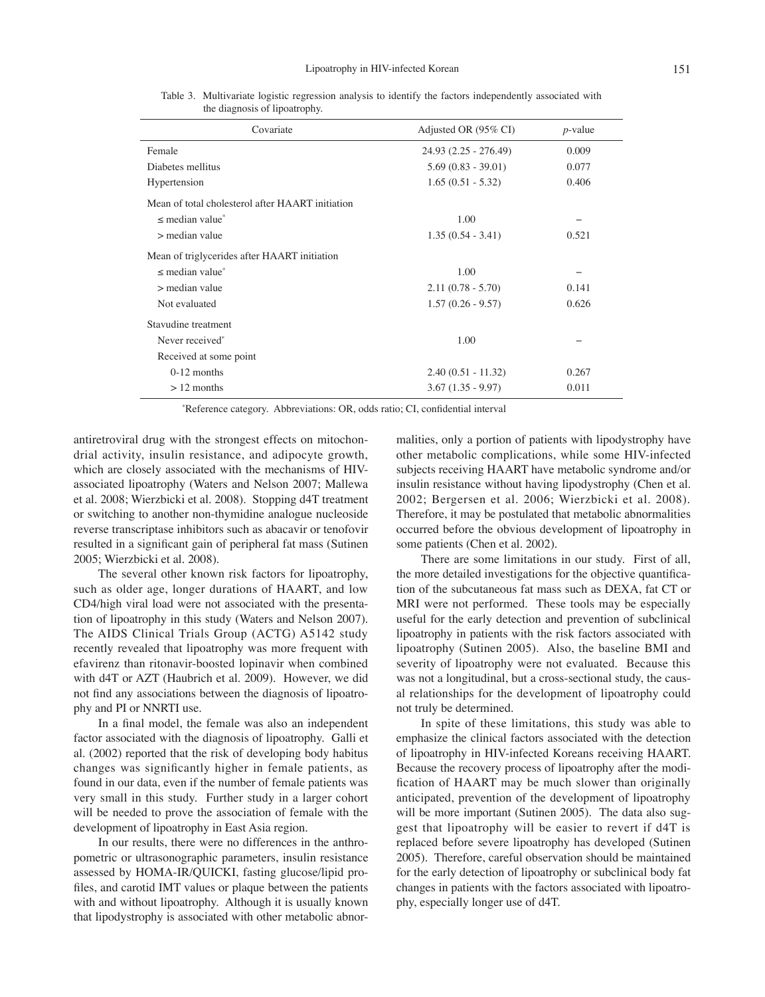| Covariate                                        | Adjusted OR (95% CI)  | $p$ -value |
|--------------------------------------------------|-----------------------|------------|
| Female                                           | 24.93 (2.25 - 276.49) | 0.009      |
| Diabetes mellitus                                | $5.69(0.83 - 39.01)$  | 0.077      |
| Hypertension                                     | $1.65(0.51 - 5.32)$   | 0.406      |
| Mean of total cholesterol after HAART initiation |                       |            |
| $\leq$ median value $*$                          | 1.00                  |            |
| $>$ median value                                 | $1.35(0.54 - 3.41)$   | 0.521      |
| Mean of triglycerides after HAART initiation     |                       |            |
| $\leq$ median value $\degree$                    | 1.00                  |            |
| $>$ median value                                 | $2.11(0.78 - 5.70)$   | 0.141      |
| Not evaluated                                    | $1.57(0.26 - 9.57)$   | 0.626      |
| Stavudine treatment                              |                       |            |
| Never received*                                  | 1.00                  |            |
| Received at some point                           |                       |            |
| $0-12$ months                                    | $2.40(0.51 - 11.32)$  | 0.267      |
| $>12$ months                                     | $3.67(1.35 - 9.97)$   | 0.011      |

Table 3. Multivariate logistic regression analysis to identify the factors independently associated with the diagnosis of lipoatrophy.

\* Reference category. Abbreviations: OR, odds ratio; CI, confidential interval

antiretroviral drug with the strongest effects on mitochondrial activity, insulin resistance, and adipocyte growth, which are closely associated with the mechanisms of HIVassociated lipoatrophy (Waters and Nelson 2007; Mallewa et al. 2008; Wierzbicki et al. 2008). Stopping d4T treatment or switching to another non-thymidine analogue nucleoside reverse transcriptase inhibitors such as abacavir or tenofovir resulted in a significant gain of peripheral fat mass (Sutinen 2005; Wierzbicki et al. 2008).

The several other known risk factors for lipoatrophy, such as older age, longer durations of HAART, and low CD4/high viral load were not associated with the presentation of lipoatrophy in this study (Waters and Nelson 2007). The AIDS Clinical Trials Group (ACTG) A5142 study recently revealed that lipoatrophy was more frequent with efavirenz than ritonavir-boosted lopinavir when combined with d4T or AZT (Haubrich et al. 2009). However, we did not find any associations between the diagnosis of lipoatrophy and PI or NNRTI use.

In a final model, the female was also an independent factor associated with the diagnosis of lipoatrophy. Galli et al. (2002) reported that the risk of developing body habitus changes was significantly higher in female patients, as found in our data, even if the number of female patients was very small in this study. Further study in a larger cohort will be needed to prove the association of female with the development of lipoatrophy in East Asia region.

In our results, there were no differences in the anthropometric or ultrasonographic parameters, insulin resistance assessed by HOMA-IR/QUICKI, fasting glucose/lipid profiles, and carotid IMT values or plaque between the patients with and without lipoatrophy. Although it is usually known that lipodystrophy is associated with other metabolic abnormalities, only a portion of patients with lipodystrophy have other metabolic complications, while some HIV-infected subjects receiving HAART have metabolic syndrome and/or insulin resistance without having lipodystrophy (Chen et al. 2002; Bergersen et al. 2006; Wierzbicki et al. 2008). Therefore, it may be postulated that metabolic abnormalities occurred before the obvious development of lipoatrophy in some patients (Chen et al. 2002).

There are some limitations in our study. First of all, the more detailed investigations for the objective quantification of the subcutaneous fat mass such as DEXA, fat CT or MRI were not performed. These tools may be especially useful for the early detection and prevention of subclinical lipoatrophy in patients with the risk factors associated with lipoatrophy (Sutinen 2005). Also, the baseline BMI and severity of lipoatrophy were not evaluated. Because this was not a longitudinal, but a cross-sectional study, the causal relationships for the development of lipoatrophy could not truly be determined.

In spite of these limitations, this study was able to emphasize the clinical factors associated with the detection of lipoatrophy in HIV-infected Koreans receiving HAART. Because the recovery process of lipoatrophy after the modification of HAART may be much slower than originally anticipated, prevention of the development of lipoatrophy will be more important (Sutinen 2005). The data also suggest that lipoatrophy will be easier to revert if d4T is replaced before severe lipoatrophy has developed (Sutinen 2005). Therefore, careful observation should be maintained for the early detection of lipoatrophy or subclinical body fat changes in patients with the factors associated with lipoatrophy, especially longer use of d4T.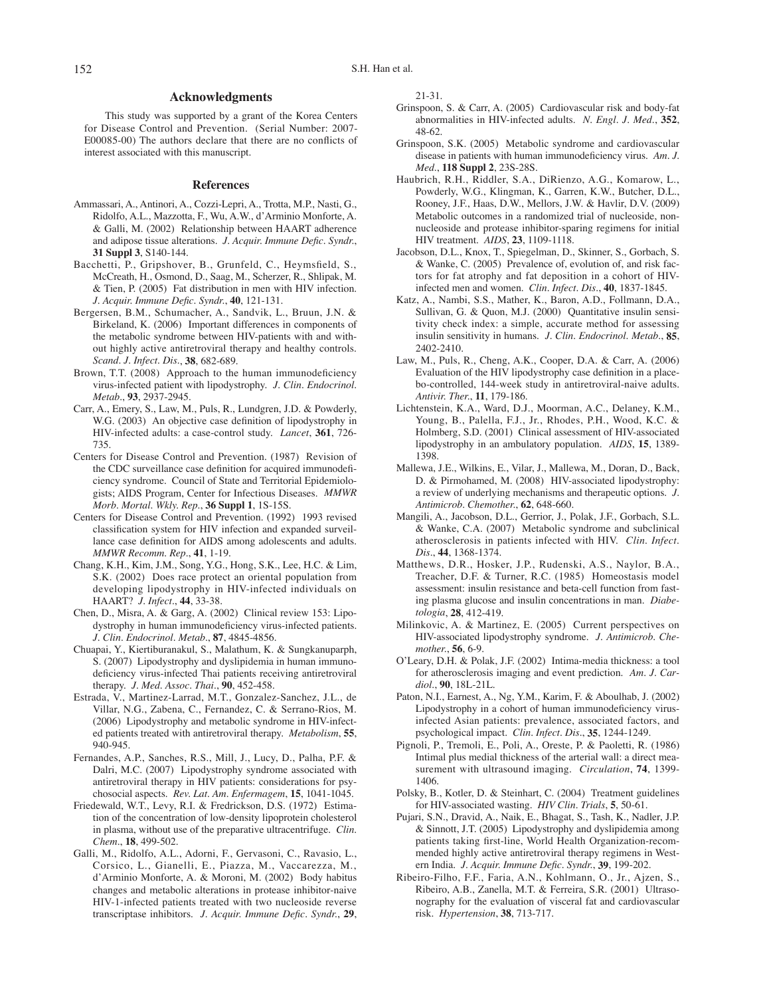#### **Acknowledgments**

This study was supported by a grant of the Korea Centers for Disease Control and Prevention. (Serial Number: 2007- E00085-00) The authors declare that there are no conflicts of interest associated with this manuscript.

#### **References**

- Ammassari, A., Antinori, A., Cozzi-Lepri, A., Trotta, M.P., Nasti, G., Ridolfo, A.L., Mazzotta, F., Wu, A.W., d'Arminio Monforte, A. & Galli, M. (2002) Relationship between HAART adherence and adipose tissue alterations. *J. Acquir. Immune Defic. Syndr.*, **31 Suppl 3**, S140-144.
- Bacchetti, P., Gripshover, B., Grunfeld, C., Heymsfield, S., McCreath, H., Osmond, D., Saag, M., Scherzer, R., Shlipak, M. & Tien, P. (2005) Fat distribution in men with HIV infection. *J. Acquir. Immune Defic. Syndr.*, **40**, 121-131.
- Bergersen, B.M., Schumacher, A., Sandvik, L., Bruun, J.N. & Birkeland, K. (2006) Important differences in components of the metabolic syndrome between HIV-patients with and without highly active antiretroviral therapy and healthy controls. *Scand. J. Infect. Dis.*, **38**, 682-689.
- Brown, T.T. (2008) Approach to the human immunodeficiency virus-infected patient with lipodystrophy. *J. Clin. Endocrinol. Metab.*, **93**, 2937-2945.
- Carr, A., Emery, S., Law, M., Puls, R., Lundgren, J.D. & Powderly, W.G. (2003) An objective case definition of lipodystrophy in HIV-infected adults: a case-control study. *Lancet*, **361**, 726- 735.
- Centers for Disease Control and Prevention. (1987) Revision of the CDC surveillance case definition for acquired immunodeficiency syndrome. Council of State and Territorial Epidemiologists; AIDS Program, Center for Infectious Diseases. *MMWR Morb. Mortal. Wkly. Rep.*, **36 Suppl 1**, 1S-15S.
- Centers for Disease Control and Prevention. (1992) 1993 revised classification system for HIV infection and expanded surveillance case definition for AIDS among adolescents and adults. *MMWR Recomm. Rep.*, **41**, 1-19.
- Chang, K.H., Kim, J.M., Song, Y.G., Hong, S.K., Lee, H.C. & Lim, S.K. (2002) Does race protect an oriental population from developing lipodystrophy in HIV-infected individuals on HAART? *J. Infect.*, **44**, 33-38.
- Chen, D., Misra, A. & Garg, A. (2002) Clinical review 153: Lipodystrophy in human immunodeficiency virus-infected patients. *J. Clin. Endocrinol. Metab.*, **87**, 4845-4856.
- Chuapai, Y., Kiertiburanakul, S., Malathum, K. & Sungkanuparph, S. (2007) Lipodystrophy and dyslipidemia in human immunodeficiency virus-infected Thai patients receiving antiretroviral therapy. *J. Med. Assoc. Thai.*, **90**, 452-458.
- Estrada, V., Martinez-Larrad, M.T., Gonzalez-Sanchez, J.L., de Villar, N.G., Zabena, C., Fernandez, C. & Serrano-Rios, M. (2006) Lipodystrophy and metabolic syndrome in HIV-infected patients treated with antiretroviral therapy. *Metabolism*, **55**, 940-945.
- Fernandes, A.P., Sanches, R.S., Mill, J., Lucy, D., Palha, P.F. & Dalri, M.C. (2007) Lipodystrophy syndrome associated with antiretroviral therapy in HIV patients: considerations for psychosocial aspects. *Rev. Lat. Am. Enfermagem*, **15**, 1041-1045.
- Friedewald, W.T., Levy, R.I. & Fredrickson, D.S. (1972) Estimation of the concentration of low-density lipoprotein cholesterol in plasma, without use of the preparative ultracentrifuge. *Clin. Chem.*, **18**, 499-502.
- Galli, M., Ridolfo, A.L., Adorni, F., Gervasoni, C., Ravasio, L., Corsico, L., Gianelli, E., Piazza, M., Vaccarezza, M., d'Arminio Monforte, A. & Moroni, M. (2002) Body habitus changes and metabolic alterations in protease inhibitor-naive HIV-1-infected patients treated with two nucleoside reverse transcriptase inhibitors. *J. Acquir. Immune Defic. Syndr.*, **29**,

21-31.

- Grinspoon, S. & Carr, A. (2005) Cardiovascular risk and body-fat abnormalities in HIV-infected adults. *N. Engl. J. Med.*, **352**, 48-62.
- Grinspoon, S.K. (2005) Metabolic syndrome and cardiovascular disease in patients with human immunodeficiency virus. *Am. J. Med.*, **118 Suppl 2**, 23S-28S.
- Haubrich, R.H., Riddler, S.A., DiRienzo, A.G., Komarow, L., Powderly, W.G., Klingman, K., Garren, K.W., Butcher, D.L., Rooney, J.F., Haas, D.W., Mellors, J.W. & Havlir, D.V. (2009) Metabolic outcomes in a randomized trial of nucleoside, nonnucleoside and protease inhibitor-sparing regimens for initial HIV treatment. *AIDS*, **23**, 1109-1118.
- Jacobson, D.L., Knox, T., Spiegelman, D., Skinner, S., Gorbach, S. & Wanke, C. (2005) Prevalence of, evolution of, and risk factors for fat atrophy and fat deposition in a cohort of HIVinfected men and women. *Clin. Infect. Dis.*, **40**, 1837-1845.
- Katz, A., Nambi, S.S., Mather, K., Baron, A.D., Follmann, D.A., Sullivan, G. & Quon, M.J. (2000) Quantitative insulin sensitivity check index: a simple, accurate method for assessing insulin sensitivity in humans. *J. Clin. Endocrinol. Metab.*, **85**, 2402-2410.
- Law, M., Puls, R., Cheng, A.K., Cooper, D.A. & Carr, A. (2006) Evaluation of the HIV lipodystrophy case definition in a placebo-controlled, 144-week study in antiretroviral-naive adults. *Antivir. Ther.*, **11**, 179-186.
- Lichtenstein, K.A., Ward, D.J., Moorman, A.C., Delaney, K.M., Young, B., Palella, F.J., Jr., Rhodes, P.H., Wood, K.C. & Holmberg, S.D. (2001) Clinical assessment of HIV-associated lipodystrophy in an ambulatory population. *AIDS*, **15**, 1389- 1398.
- Mallewa, J.E., Wilkins, E., Vilar, J., Mallewa, M., Doran, D., Back, D. & Pirmohamed, M. (2008) HIV-associated lipodystrophy: a review of underlying mechanisms and therapeutic options. *J. Antimicrob. Chemother.*, **62**, 648-660.
- Mangili, A., Jacobson, D.L., Gerrior, J., Polak, J.F., Gorbach, S.L. & Wanke, C.A. (2007) Metabolic syndrome and subclinical atherosclerosis in patients infected with HIV. *Clin. Infect. Dis.*, **44**, 1368-1374.
- Matthews, D.R., Hosker, J.P., Rudenski, A.S., Naylor, B.A., Treacher, D.F. & Turner, R.C. (1985) Homeostasis model assessment: insulin resistance and beta-cell function from fasting plasma glucose and insulin concentrations in man. *Diabetologia*, **28**, 412-419.
- Milinkovic, A. & Martinez, E. (2005) Current perspectives on HIV-associated lipodystrophy syndrome. *J. Antimicrob. Chemother.*, **56**, 6-9.
- O'Leary, D.H. & Polak, J.F. (2002) Intima-media thickness: a tool for atherosclerosis imaging and event prediction. *Am. J. Cardiol.*, **90**, 18L-21L.
- Paton, N.I., Earnest, A., Ng, Y.M., Karim, F. & Aboulhab, J. (2002) Lipodystrophy in a cohort of human immunodeficiency virusinfected Asian patients: prevalence, associated factors, and psychological impact. *Clin. Infect. Dis.*, **35**, 1244-1249.
- Pignoli, P., Tremoli, E., Poli, A., Oreste, P. & Paoletti, R. (1986) Intimal plus medial thickness of the arterial wall: a direct measurement with ultrasound imaging. *Circulation*, **74**, 1399- 1406.
- Polsky, B., Kotler, D. & Steinhart, C. (2004) Treatment guidelines for HIV-associated wasting. *HIV Clin. Trials*, **5**, 50-61.
- Pujari, S.N., Dravid, A., Naik, E., Bhagat, S., Tash, K., Nadler, J.P. & Sinnott, J.T. (2005) Lipodystrophy and dyslipidemia among patients taking first-line, World Health Organization-recommended highly active antiretroviral therapy regimens in Western India. *J. Acquir. Immune Defic. Syndr.*, **39**, 199-202.
- Ribeiro-Filho, F.F., Faria, A.N., Kohlmann, O., Jr., Ajzen, S., Ribeiro, A.B., Zanella, M.T. & Ferreira, S.R. (2001) Ultrasonography for the evaluation of visceral fat and cardiovascular risk. *Hypertension*, **38**, 713-717.